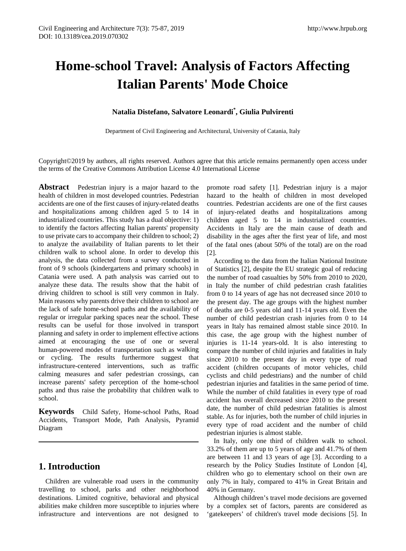# **Home-school Travel: Analysis of Factors Affecting Italian Parents' Mode Choice**

## **Natalia Distefano, Salvatore Leonardi\* , Giulia Pulvirenti**

Department of Civil Engineering and Architectural, University of Catania, Italy

Copyright©2019 by authors, all rights reserved. Authors agree that this article remains permanently open access under the terms of the Creative Commons Attribution License 4.0 International License

**Abstract** Pedestrian injury is a major hazard to the health of children in most developed countries. Pedestrian accidents are one of the first causes of injury-related deaths and hospitalizations among children aged 5 to 14 in industrialized countries. This study has a dual objective: 1) to identify the factors affecting Italian parents' propensity to use private cars to accompany their children to school; 2) to analyze the availability of Italian parents to let their children walk to school alone. In order to develop this analysis, the data collected from a survey conducted in front of 9 schools (kindergartens and primary schools) in Catania were used. A path analysis was carried out to analyze these data. The results show that the habit of driving children to school is still very common in Italy. Main reasons why parents drive their children to school are the lack of safe home-school paths and the availability of regular or irregular parking spaces near the school. These results can be useful for those involved in transport planning and safety in order to implement effective actions aimed at encouraging the use of one or several human-powered modes of transportation such as walking or cycling. The results furthermore suggest that infrastructure-centered interventions, such as traffic calming measures and safer pedestrian crossings, can increase parents' safety perception of the home-school paths and thus raise the probability that children walk to school.

**Keywords** Child Safety, Home-school Paths, Road Accidents, Transport Mode, Path Analysis, Pyramid Diagram

## **1. Introduction**

Children are vulnerable road users in the community travelling to school, parks and other neighborhood destinations. Limited cognitive, behavioral and physical abilities make children more susceptible to injuries where infrastructure and interventions are not designed to

promote road safety [1]. Pedestrian injury is a major hazard to the health of children in most developed countries. Pedestrian accidents are one of the first causes of injury-related deaths and hospitalizations among children aged 5 to 14 in industrialized countries. Accidents in Italy are the main cause of death and disability in the ages after the first year of life, and most of the fatal ones (about 50% of the total) are on the road [2].

According to the data from the Italian National Institute of Statistics [2], despite the EU strategic goal of reducing the number of road casualties by 50% from 2010 to 2020, in Italy the number of child pedestrian crash fatalities from 0 to 14 years of age has not decreased since 2010 to the present day. The age groups with the highest number of deaths are 0-5 years old and 11-14 years old. Even the number of child pedestrian crash injuries from 0 to 14 years in Italy has remained almost stable since 2010. In this case, the age group with the highest number of injuries is 11-14 years-old. It is also interesting to compare the number of child injuries and fatalities in Italy since 2010 to the present day in every type of road accident (children occupants of motor vehicles, child cyclists and child pedestrians) and the number of child pedestrian injuries and fatalities in the same period of time. While the number of child fatalities in every type of road accident has overall decreased since 2010 to the present date, the number of child pedestrian fatalities is almost stable. As for injuries, both the number of child injuries in every type of road accident and the number of child pedestrian injuries is almost stable.

In Italy, only one third of children walk to school. 33.2% of them are up to 5 years of age and 41.7% of them are between 11 and 13 years of age [3]. According to a research by the Policy Studies Institute of London [4], children who go to elementary school on their own are only 7% in Italy, compared to 41% in Great Britain and 40% in Germany.

Although children's travel mode decisions are governed by a complex set of factors, parents are considered as 'gatekeepers' of children's travel mode decisions [5]. In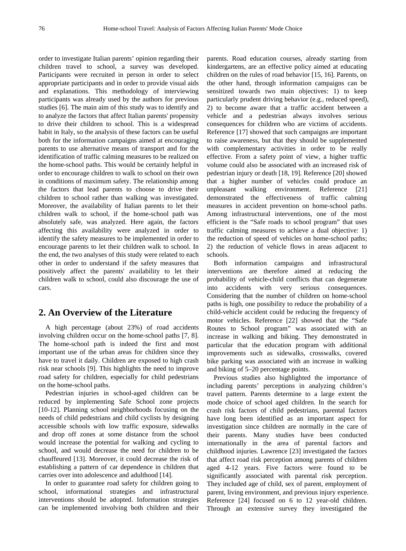order to investigate Italian parents' opinion regarding their children travel to school, a survey was developed. Participants were recruited in person in order to select appropriate participants and in order to provide visual aids and explanations. This methodology of interviewing participants was already used by the authors for previous studies [6]. The main aim of this study was to identify and to analyze the factors that affect Italian parents' propensity to drive their children to school. This is a widespread habit in Italy, so the analysis of these factors can be useful both for the information campaigns aimed at encouraging parents to use alternative means of transport and for the identification of traffic calming measures to be realized on the home-school paths. This would be certainly helpful in order to encourage children to walk to school on their own in conditions of maximum safety. The relationship among the factors that lead parents to choose to drive their children to school rather than walking was investigated. Moreover, the availability of Italian parents to let their children walk to school, if the home-school path was absolutely safe, was analyzed. Here again, the factors affecting this availability were analyzed in order to identify the safety measures to be implemented in order to encourage parents to let their children walk to school. In the end, the two analyses of this study were related to each other in order to understand if the safety measures that positively affect the parents' availability to let their children walk to school, could also discourage the use of cars.

## **2. An Overview of the Literature**

A high percentage (about 23%) of road accidents involving children occur on the home-school paths [7, 8]. The home-school path is indeed the first and most important use of the urban areas for children since they have to travel it daily. Children are exposed to high crash risk near schools [9]. This highlights the need to improve road safety for children, especially for child pedestrians on the home-school paths.

Pedestrian injuries in school-aged children can be reduced by implementing Safe School zone projects [10-12]. Planning school neighborhoods focusing on the needs of child pedestrians and child cyclists by designing accessible schools with low traffic exposure, sidewalks and drop off zones at some distance from the school would increase the potential for walking and cycling to school, and would decrease the need for children to be chauffeured [13]. Moreover, it could decrease the risk of establishing a pattern of car dependence in children that carries over into adolescence and adulthood [14].

In order to guarantee road safety for children going to school, informational strategies and infrastructural interventions should be adopted. Information strategies can be implemented involving both children and their

parents. Road education courses, already starting from kindergartens, are an effective policy aimed at educating children on the rules of road behavior [15, 16]. Parents, on the other hand, through information campaigns can be sensitized towards two main objectives: 1) to keep particularly prudent driving behavior (e.g., reduced speed), 2) to become aware that a traffic accident between a vehicle and a pedestrian always involves serious consequences for children who are victims of accidents. Reference [17] showed that such campaigns are important to raise awareness, but that they should be supplemented with complementary activities in order to be really effective. From a safety point of view, a higher traffic volume could also be associated with an increased risk of pedestrian injury or death [18, 19]. Reference [20] showed that a higher number of vehicles could produce an unpleasant walking environment. Reference [21] demonstrated the effectiveness of traffic calming measures in accident prevention on home-school paths. Among infrastructural interventions, one of the most efficient is the "Safe roads to school program" that uses traffic calming measures to achieve a dual objective: 1) the reduction of speed of vehicles on home-school paths; 2) the reduction of vehicle flows in areas adjacent to schools.

Both information campaigns and infrastructural interventions are therefore aimed at reducing the probability of vehicle-child conflicts that can degenerate into accidents with very serious consequences. Considering that the number of children on home-school paths is high, one possibility to reduce the probability of a child-vehicle accident could be reducing the frequency of motor vehicles. Reference [22] showed that the "Safe Routes to School program" was associated with an increase in walking and biking. They demonstrated in particular that the education program with additional improvements such as sidewalks, crosswalks, covered bike parking was associated with an increase in walking and biking of 5–20 percentage points.

Previous studies also highlighted the importance of including parents' perceptions in analyzing children's travel pattern. Parents determine to a large extent the mode choice of school aged children. In the search for crash risk factors of child pedestrians, parental factors have long been identified as an important aspect for investigation since children are normally in the care of their parents. Many studies have been conducted internationally in the area of parental factors and childhood injuries. Lawrence [23] investigated the factors that affect road risk perception among parents of children aged 4-12 years. Five factors were found to be significantly associated with parental risk perception. They included age of child, sex of parent, employment of parent, living environment, and previous injury experience. Reference [24] focused on 6 to 12 year-old children. Through an extensive survey they investigated the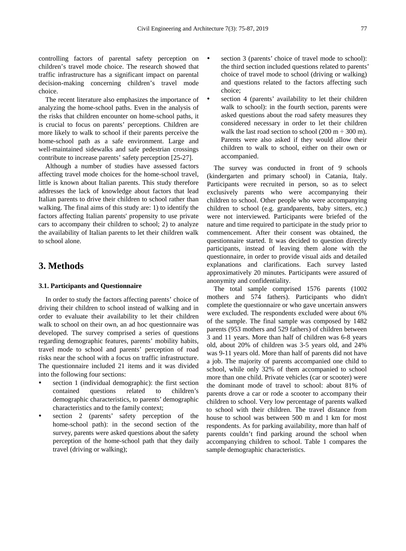controlling factors of parental safety perception on children's travel mode choice. The research showed that traffic infrastructure has a significant impact on parental decision-making concerning children's travel mode choice.

The recent literature also emphasizes the importance of analyzing the home-school paths. Even in the analysis of the risks that children encounter on home-school paths, it is crucial to focus on parents' perceptions. Children are more likely to walk to school if their parents perceive the home-school path as a safe environment. Large and well-maintained sidewalks and safe pedestrian crossings contribute to increase parents' safety perception [25-27].

Although a number of studies have assessed factors affecting travel mode choices for the home-school travel, little is known about Italian parents. This study therefore addresses the lack of knowledge about factors that lead Italian parents to drive their children to school rather than walking. The final aims of this study are: 1) to identify the factors affecting Italian parents' propensity to use private cars to accompany their children to school; 2) to analyze the availability of Italian parents to let their children walk to school alone.

## **3. Methods**

#### **3.1. Participants and Questionnaire**

In order to study the factors affecting parents' choice of driving their children to school instead of walking and in order to evaluate their availability to let their children walk to school on their own, an ad hoc questionnaire was developed. The survey comprised a series of questions regarding demographic features, parents' mobility habits, travel mode to school and parents' perception of road risks near the school with a focus on traffic infrastructure. The questionnaire included 21 items and it was divided into the following four sections:

- section 1 (individual demographic): the first section contained questions related to children's demographic characteristics, to parents' demographic characteristics and to the family context;
- section 2 (parents' safety perception of the home-school path): in the second section of the survey, parents were asked questions about the safety perception of the home-school path that they daily travel (driving or walking);
- section 3 (parents' choice of travel mode to school): the third section included questions related to parents' choice of travel mode to school (driving or walking) and questions related to the factors affecting such choice;
- section 4 (parents' availability to let their children walk to school): in the fourth section, parents were asked questions about the road safety measures they considered necessary in order to let their children walk the last road section to school (200 m  $\div$  300 m). Parents were also asked if they would allow their children to walk to school, either on their own or accompanied.

The survey was conducted in front of 9 schools (kindergarten and primary school) in Catania, Italy. Participants were recruited in person, so as to select exclusively parents who were accompanying their children to school. Other people who were accompanying children to school (e.g. grandparents, baby sitters, etc.) were not interviewed. Participants were briefed of the nature and time required to participate in the study prior to commencement. After their consent was obtained, the questionnaire started. It was decided to question directly participants, instead of leaving them alone with the questionnaire, in order to provide visual aids and detailed explanations and clarifications. Each survey lasted approximatively 20 minutes. Participants were assured of anonymity and confidentiality.

The total sample comprised 1576 parents (1002 mothers and 574 fathers). Participants who didn't complete the questionnaire or who gave uncertain answers were excluded. The respondents excluded were about 6% of the sample. The final sample was composed by 1482 parents (953 mothers and 529 fathers) of children between 3 and 11 years. More than half of children was 6-8 years old, about 20% of children was 3-5 years old, and 24% was 9-11 years old. More than half of parents did not have a job. The majority of parents accompanied one child to school, while only 32% of them accompanied to school more than one child. Private vehicles (car or scooter) were the dominant mode of travel to school: about 81% of parents drove a car or rode a scooter to accompany their children to school. Very low percentage of parents walked to school with their children. The travel distance from house to school was between 500 m and 1 km for most respondents. As for parking availability, more than half of parents couldn't find parking around the school when accompanying children to school. Table 1 compares the sample demographic characteristics.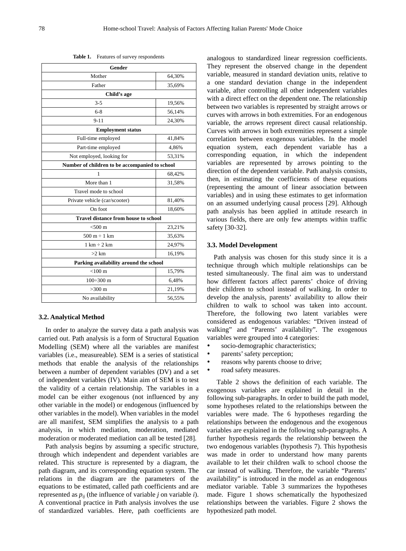**Table 1.** Features of survey respondents

| Gender                                         |        |  |  |  |
|------------------------------------------------|--------|--|--|--|
| Mother                                         | 64,30% |  |  |  |
| Father                                         | 35,69% |  |  |  |
| Child's age                                    |        |  |  |  |
| $3 - 5$                                        | 19,56% |  |  |  |
| $6 - 8$                                        | 56,14% |  |  |  |
| $9 - 11$                                       | 24,30% |  |  |  |
| <b>Employment status</b>                       |        |  |  |  |
| Full-time employed                             | 41,84% |  |  |  |
| Part-time employed                             | 4,86%  |  |  |  |
| Not employed, looking for                      | 53,31% |  |  |  |
| Number of children to be accompanied to school |        |  |  |  |
| 1                                              | 68,42% |  |  |  |
| More than 1                                    | 31,58% |  |  |  |
| Travel mode to school                          |        |  |  |  |
| Private vehicle (car/scooter)                  | 81,40% |  |  |  |
| On foot                                        | 18,60% |  |  |  |
| <b>Travel distance from house to school</b>    |        |  |  |  |
| $<$ 500 $m$                                    | 23,21% |  |  |  |
| $500 m \div 1 km$                              | 35,63% |  |  |  |
| $1 \text{ km} \div 2 \text{ km}$               | 24,97% |  |  |  |
| $>2$ km                                        | 16,19% |  |  |  |
| Parking availability around the school         |        |  |  |  |
| $< 100 \text{ m}$                              | 15,79% |  |  |  |
| $100 \div 300$ m                               | 6,48%  |  |  |  |
| $>300 \text{ m}$                               | 21,19% |  |  |  |
| No availability                                | 56,55% |  |  |  |

#### **3.2. Analytical Method**

In order to analyze the survey data a path analysis was carried out. Path analysis is a form of Structural Equation Modelling (SEM) where all the variables are manifest variables (i.e., measureable). SEM is a series of statistical methods that enable the analysis of the relationships between a number of dependent variables (DV) and a set of independent variables (IV). Main aim of SEM is to test the validity of a certain relationship. The variables in a model can be either exogenous (not influenced by any other variable in the model) or endogenous (influenced by other variables in the model). When variables in the model are all manifest, SEM simplifies the analysis to a path analysis, in which mediation, moderation, mediated moderation or moderated mediation can all be tested [28].

Path analysis begins by assuming a specific structure, through which independent and dependent variables are related. This structure is represented by a diagram, the path diagram, and its corresponding equation system. The relations in the diagram are the parameters of the equations to be estimated, called path coefficients and are represented as  $p_{ij}$  (the influence of variable *j* on variable *i*). A conventional practice in Path analysis involves the use of standardized variables. Here, path coefficients are

analogous to standardized linear regression coefficients. They represent the observed change in the dependent variable, measured in standard deviation units, relative to a one standard deviation change in the independent variable, after controlling all other independent variables with a direct effect on the dependent one. The relationship between two variables is represented by straight arrows or curves with arrows in both extremities. For an endogenous variable, the arrows represent direct causal relationship. Curves with arrows in both extremities represent a simple correlation between exogenous variables. In the model equation system, each dependent variable has a corresponding equation, in which the independent variables are represented by arrows pointing to the direction of the dependent variable. Path analysis consists, then, in estimating the coefficients of these equations (representing the amount of linear association between variables) and in using these estimates to get information on an assumed underlying causal process [29]. Although path analysis has been applied in attitude research in various fields, there are only few attempts within traffic safety [30-32].

#### **3.3. Model Development**

Path analysis was chosen for this study since it is a technique through which multiple relationships can be tested simultaneously. The final aim was to understand how different factors affect parents' choice of driving their children to school instead of walking. In order to develop the analysis, parents' availability to allow their children to walk to school was taken into account. Therefore, the following two latent variables were considered as endogenous variables: "Driven instead of walking" and "Parents' availability". The exogenous variables were grouped into 4 categories:

- socio-demographic characteristics;
- parents' safety perception;
- reasons why parents choose to drive;
- road safety measures.

Table 2 shows the definition of each variable. The exogenous variables are explained in detail in the following sub-paragraphs. In order to build the path model, some hypotheses related to the relationships between the variables were made. The 6 hypotheses regarding the relationships between the endogenous and the exogenous variables are explained in the following sub-paragraphs. A further hypothesis regards the relationship between the two endogenous variables (hypothesis 7). This hypothesis was made in order to understand how many parents available to let their children walk to school choose the car instead of walking. Therefore, the variable "Parents' availability" is introduced in the model as an endogenous mediator variable. Table 3 summarizes the hypotheses made. Figure 1 shows schematically the hypothesized relationships between the variables. Figure 2 shows the hypothesized path model.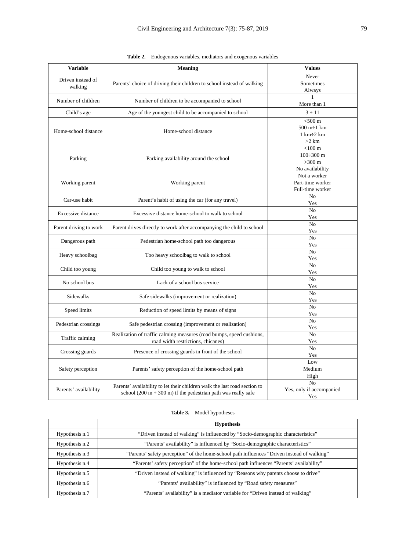| <b>Variable</b>              | <b>Meaning</b>                                                                                                                                  | <b>Values</b>                                                                   |  |
|------------------------------|-------------------------------------------------------------------------------------------------------------------------------------------------|---------------------------------------------------------------------------------|--|
| Driven instead of<br>walking | Parents' choice of driving their children to school instead of walking                                                                          | Never<br>Sometimes<br>Always                                                    |  |
| Number of children           | Number of children to be accompanied to school                                                                                                  | $\mathbf{1}$<br>More than 1                                                     |  |
| Child's age                  | Age of the youngest child to be accompanied to school                                                                                           | $3 \div 11$                                                                     |  |
| Home-school distance         | Home-school distance                                                                                                                            | $<$ 500 $m$<br>$500 m \div 1 km$<br>$1 \text{ km} \div 2 \text{ km}$<br>$>2$ km |  |
| Parking                      | Parking availability around the school                                                                                                          | $<$ 100 $m$<br>100÷300 m<br>$>300$ m<br>No availability                         |  |
| Working parent               | Working parent                                                                                                                                  | Not a worker<br>Part-time worker<br>Full-time worker                            |  |
| Car-use habit                | Parent's habit of using the car (for any travel)                                                                                                | N <sub>o</sub><br>Yes                                                           |  |
| Excessive distance           | Excessive distance home-school to walk to school                                                                                                | No<br>Yes                                                                       |  |
| Parent driving to work       | Parent drives directly to work after accompanying the child to school                                                                           | N <sub>o</sub><br>Yes                                                           |  |
| Dangerous path               | Pedestrian home-school path too dangerous                                                                                                       | N <sub>o</sub><br>Yes                                                           |  |
| Heavy schoolbag              | Too heavy schoolbag to walk to school                                                                                                           | N <sub>o</sub><br>Yes                                                           |  |
| Child too young              | Child too young to walk to school                                                                                                               | N <sub>o</sub><br>Yes                                                           |  |
| No school bus                | Lack of a school bus service                                                                                                                    | N <sub>o</sub><br>Yes                                                           |  |
| Sidewalks                    | Safe sidewalks (improvement or realization)                                                                                                     | N <sub>o</sub><br>Yes                                                           |  |
| Speed limits                 | Reduction of speed limits by means of signs                                                                                                     | No<br>Yes                                                                       |  |
| Pedestrian crossings         | Safe pedestrian crossing (improvement or realization)                                                                                           | No<br>Yes                                                                       |  |
| Traffic calming              | Realization of traffic calming measures (road bumps, speed cushions,<br>road width restrictions, chicanes)                                      | N <sub>o</sub><br>Yes                                                           |  |
| Crossing guards              | Presence of crossing guards in front of the school                                                                                              | No<br>Yes                                                                       |  |
| Safety perception            | Parents' safety perception of the home-school path                                                                                              | Low<br>Medium<br>High                                                           |  |
| Parents' availability        | Parents' availability to let their children walk the last road section to<br>school (200 m $\div$ 300 m) if the pedestrian path was really safe | N <sub>o</sub><br>Yes, only if accompanied<br>Yes                               |  |

| <b>Table 2.</b> Endogenous variables, mediators and exogenous variables |  |  |  |
|-------------------------------------------------------------------------|--|--|--|
|                                                                         |  |  |  |

| Table 3. | Model hypotheses |
|----------|------------------|
|          |                  |

|                | <b>Hypothesis</b>                                                                           |
|----------------|---------------------------------------------------------------------------------------------|
| Hypothesis n.1 | "Driven instead of walking" is influenced by "Socio-demographic characteristics"            |
| Hypothesis n.2 | "Parents' availability" is influenced by "Socio-demographic characteristics"                |
| Hypothesis n.3 | "Parents' safety perception" of the home-school path influences "Driven instead of walking" |
| Hypothesis n.4 | "Parents' safety perception" of the home-school path influences "Parents' availability"     |
| Hypothesis n.5 | "Driven instead of walking" is influenced by "Reasons why parents choose to drive"          |
| Hypothesis n.6 | "Parents' availability" is influenced by "Road safety measures"                             |
| Hypothesis n.7 | "Parents' availability" is a mediator variable for "Driven instead of walking"              |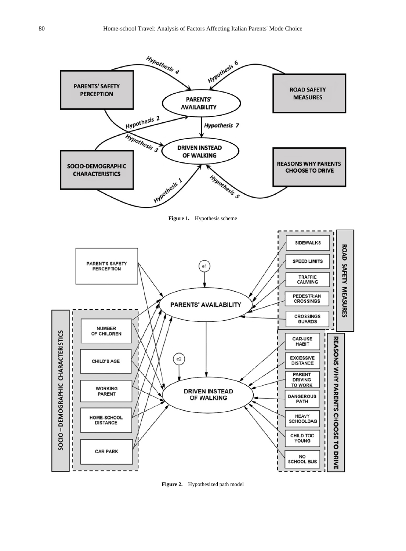

**Figure 2.** Hypothesized path model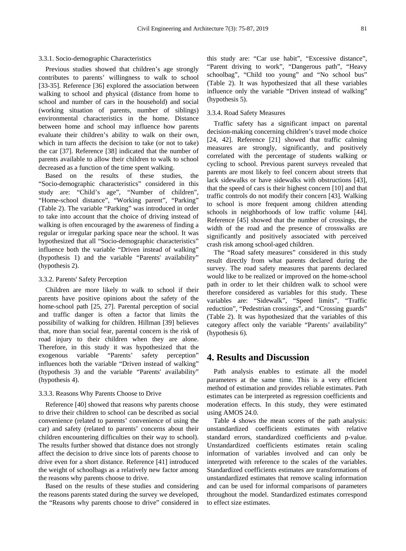#### 3.3.1. Socio-demographic Characteristics

Previous studies showed that children's age strongly contributes to parents' willingness to walk to school [33-35]. Reference [36] explored the association between walking to school and physical (distance from home to school and number of cars in the household) and social (working situation of parents, number of siblings) environmental characteristics in the home. Distance between home and school may influence how parents evaluate their children's ability to walk on their own, which in turn affects the decision to take (or not to take) the car [37]. Reference [38] indicated that the number of parents available to allow their children to walk to school decreased as a function of the time spent walking.

Based on the results of these studies, the "Socio-demographic characteristics" considered in this study are: "Child's age", "Number of children", "Home-school distance", "Working parent", "Parking" (Table 2). The variable "Parking" was introduced in order to take into account that the choice of driving instead of walking is often encouraged by the awareness of finding a regular or irregular parking space near the school. It was hypothesized that all "Socio-demographic characteristics" influence both the variable "Driven instead of walking" (hypothesis 1) and the variable "Parents' availability" (hypothesis 2).

#### 3.3.2. Parents' Safety Perception

Children are more likely to walk to school if their parents have positive opinions about the safety of the home-school path [25, 27]. Parental perception of social and traffic danger is often a factor that limits the possibility of walking for children. Hillman [39] believes that, more than social fear, parental concern is the risk of road injury to their children when they are alone. Therefore, in this study it was hypothesized that the exogenous variable "Parents' safety perception" influences both the variable "Driven instead of walking" (hypothesis 3) and the variable "Parents' availability" (hypothesis 4).

#### 3.3.3. Reasons Why Parents Choose to Drive

Reference [40] showed that reasons why parents choose to drive their children to school can be described as social convenience (related to parents' convenience of using the car) and safety (related to parents' concerns about their children encountering difficulties on their way to school). The results further showed that distance does not strongly affect the decision to drive since lots of parents choose to drive even for a short distance. Reference [41] introduced the weight of schoolbags as a relatively new factor among the reasons why parents choose to drive.

Based on the results of these studies and considering the reasons parents stated during the survey we developed, the "Reasons why parents choose to drive" considered in this study are: "Car use habit", "Excessive distance", "Parent driving to work", "Dangerous path", "Heavy schoolbag", "Child too young" and "No school bus" (Table 2). It was hypothesized that all these variables influence only the variable "Driven instead of walking" (hypothesis 5).

#### 3.3.4. Road Safety Measures

Traffic safety has a significant impact on parental decision-making concerning children's travel mode choice [24, 42]. Reference [21] showed that traffic calming measures are strongly, significantly, and positively correlated with the percentage of students walking or cycling to school. Previous parent surveys revealed that parents are most likely to feel concern about streets that lack sidewalks or have sidewalks with obstructions [43], that the speed of cars is their highest concern [10] and that traffic controls do not modify their concern [43]. Walking to school is more frequent among children attending schools in neighborhoods of low traffic volume [44]. Reference [45] showed that the number of crossings, the width of the road and the presence of crosswalks are significantly and positively associated with perceived crash risk among school-aged children.

The "Road safety measures" considered in this study result directly from what parents declared during the survey. The road safety measures that parents declared would like to be realized or improved on the home-school path in order to let their children walk to school were therefore considered as variables for this study. These variables are: "Sidewalk", "Speed limits", "Traffic reduction", "Pedestrian crossings", and "Crossing guards" (Table 2). It was hypothesized that the variables of this category affect only the variable "Parents' availability" (hypothesis 6).

## **4. Results and Discussion**

Path analysis enables to estimate all the model parameters at the same time. This is a very efficient method of estimation and provides reliable estimates. Path estimates can be interpreted as regression coefficients and moderation effects. In this study, they were estimated using AMOS 24.0.

Table 4 shows the mean scores of the path analysis: unstandardized coefficients estimates with relative standard errors, standardized coefficients and p-value. Unstandardized coefficients estimates retain scaling information of variables involved and can only be interpreted with reference to the scales of the variables. Standardized coefficients estimates are transformations of unstandardized estimates that remove scaling information and can be used for informal comparisons of parameters throughout the model. Standardized estimates correspond to effect size estimates.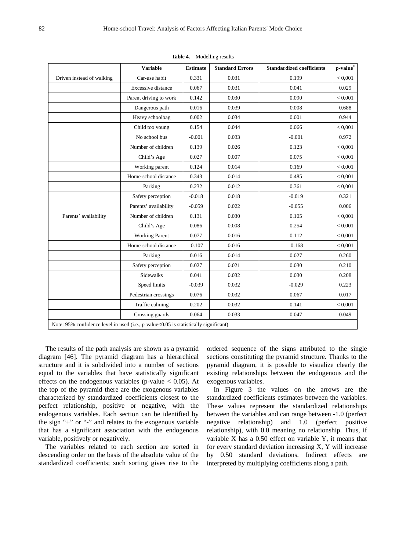|                                                                                       | <b>Variable</b>        | <b>Estimate</b> | <b>Standard Errors</b> | <b>Standardized coefficients</b> | p-value* |
|---------------------------------------------------------------------------------------|------------------------|-----------------|------------------------|----------------------------------|----------|
| Driven instead of walking                                                             | Car-use habit          | 0.331           | 0.031                  | 0.199                            | < 0.001  |
|                                                                                       | Excessive distance     | 0.067           | 0.031                  | 0.041                            | 0.029    |
|                                                                                       | Parent driving to work | 0.142           | 0.030                  | 0.090                            | < 0.001  |
|                                                                                       | Dangerous path         | 0.016           | 0.039                  | 0.008                            | 0.688    |
|                                                                                       | Heavy schoolbag        | 0.002           | 0.034                  | 0.001                            | 0.944    |
|                                                                                       | Child too young        | 0.154           | 0.044                  | 0.066                            | < 0,001  |
|                                                                                       | No school bus          | $-0.001$        | 0.033                  | $-0.001$                         | 0.972    |
|                                                                                       | Number of children     | 0.139           | 0.026                  | 0.123                            | < 0.001  |
|                                                                                       | Child's Age            | 0.027           | 0.007                  | 0.075                            | < 0.001  |
|                                                                                       | Working parent         | 0.124           | 0.014                  | 0.169                            | < 0.001  |
|                                                                                       | Home-school distance   | 0.343           | 0.014                  | 0.485                            | < 0.001  |
|                                                                                       | Parking                | 0.232           | 0.012                  | 0.361                            | < 0.001  |
|                                                                                       | Safety perception      | $-0.018$        | 0.018                  | $-0.019$                         | 0.321    |
|                                                                                       | Parents' availability  | $-0.059$        | 0.022                  | $-0.055$                         | 0.006    |
| Parents' availability                                                                 | Number of children     | 0.131           | 0.030                  | 0.105                            | < 0.001  |
|                                                                                       | Child's Age            | 0.086           | 0.008                  | 0.254                            | < 0.001  |
|                                                                                       | <b>Working Parent</b>  | 0.077           | 0.016                  | 0.112                            | < 0.001  |
|                                                                                       | Home-school distance   | $-0.107$        | 0.016                  | $-0.168$                         | < 0,001  |
|                                                                                       | Parking                | 0.016           | 0.014                  | 0.027                            | 0.260    |
|                                                                                       | Safety perception      | 0.027           | 0.021                  | 0.030                            | 0.210    |
|                                                                                       | <b>Sidewalks</b>       | 0.041           | 0.032                  | 0.030                            | 0.208    |
|                                                                                       | Speed limits           | $-0.039$        | 0.032                  | $-0.029$                         | 0.223    |
|                                                                                       | Pedestrian crossings   | 0.076           | 0.032                  | 0.067                            | 0.017    |
|                                                                                       | Traffic calming        | 0.202           | 0.032                  | 0.141                            | < 0.001  |
|                                                                                       | Crossing guards        | 0.064           | 0.033                  | 0.047                            | 0.049    |
| Note: 95% confidence level in used (i.e., p-value<0.05 is statistically significant). |                        |                 |                        |                                  |          |

**Table 4.** Modelling results

The results of the path analysis are shown as a pyramid diagram [46]. The pyramid diagram has a hierarchical structure and it is subdivided into a number of sections equal to the variables that have statistically significant effects on the endogenous variables (p-value  $< 0.05$ ). At the top of the pyramid there are the exogenous variables characterized by standardized coefficients closest to the perfect relationship, positive or negative, with the endogenous variables. Each section can be identified by the sign "+" or "-" and relates to the exogenous variable that has a significant association with the endogenous variable, positively or negatively.

The variables related to each section are sorted in descending order on the basis of the absolute value of the standardized coefficients; such sorting gives rise to the ordered sequence of the signs attributed to the single sections constituting the pyramid structure. Thanks to the pyramid diagram, it is possible to visualize clearly the existing relationships between the endogenous and the exogenous variables.

In Figure 3 the values on the arrows are the standardized coefficients estimates between the variables. These values represent the standardized relationships between the variables and can range between -1.0 (perfect negative relationship) and 1.0 (perfect positive relationship), with 0.0 meaning no relationship. Thus, if variable X has a 0.50 effect on variable Y, it means that for every standard deviation increasing X, Y will increase by 0.50 standard deviations. Indirect effects are interpreted by multiplying coefficients along a path.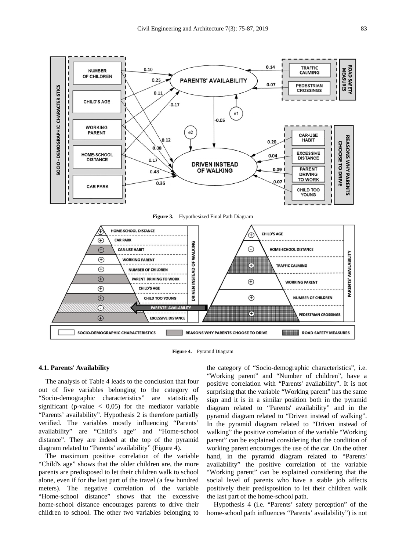

**Figure 3.** Hypothesized Final Path Diagram



**Figure 4.** Pyramid Diagram

#### **4.1. Parents' Availability**

The analysis of Table 4 leads to the conclusion that four out of five variables belonging to the category of "Socio-demographic characteristics" are statistically significant (p-value  $\langle 0.05 \rangle$ ) for the mediator variable "Parents' availability". Hypothesis 2 is therefore partially verified. The variables mostly influencing "Parents' availability" are "Child's age" and "Home-school distance". They are indeed at the top of the pyramid diagram related to "Parents' availability" (Figure 4).

The maximum positive correlation of the variable "Child's age" shows that the older children are, the more parents are predisposed to let their children walk to school alone, even if for the last part of the travel (a few hundred meters). The negative correlation of the variable "Home-school distance" shows that the excessive home-school distance encourages parents to drive their children to school. The other two variables belonging to

the category of "Socio-demographic characteristics", i.e. "Working parent" and "Number of children", have a positive correlation with "Parents' availability". It is not surprising that the variable "Working parent" has the same sign and it is in a similar position both in the pyramid diagram related to "Parents' availability" and in the pyramid diagram related to "Driven instead of walking". In the pyramid diagram related to "Driven instead of walking" the positive correlation of the variable "Working parent" can be explained considering that the condition of working parent encourages the use of the car. On the other hand, in the pyramid diagram related to "Parents' availability" the positive correlation of the variable "Working parent" can be explained considering that the social level of parents who have a stable job affects positively their predisposition to let their children walk the last part of the home-school path.

Hypothesis 4 (i.e. "Parents' safety perception" of the home-school path influences "Parents' availability") is not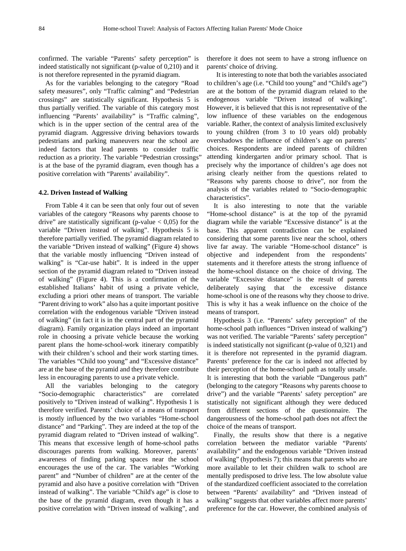confirmed. The variable "Parents' safety perception" is indeed statistically not significant (p-value of 0,210) and it is not therefore represented in the pyramid diagram.

As for the variables belonging to the category "Road safety measures", only "Traffic calming" and "Pedestrian crossings" are statistically significant. Hypothesis 5 is thus partially verified. The variable of this category most influencing "Parents' availability" is "Traffic calming", which is in the upper section of the central area of the pyramid diagram. Aggressive driving behaviors towards pedestrians and parking maneuvers near the school are indeed factors that lead parents to consider traffic reduction as a priority. The variable "Pedestrian crossings" is at the base of the pyramid diagram, even though has a positive correlation with "Parents' availability".

#### **4.2. Driven Instead of Walking**

From Table 4 it can be seen that only four out of seven variables of the category "Reasons why parents choose to drive" are statistically significant (p-value  $< 0.05$ ) for the variable "Driven instead of walking". Hypothesis 5 is therefore partially verified. The pyramid diagram related to the variable "Driven instead of walking" (Figure 4) shows that the variable mostly influencing "Driven instead of walking" is "Car-use habit". It is indeed in the upper section of the pyramid diagram related to "Driven instead of walking" (Figure 4). This is a confirmation of the established Italians' habit of using a private vehicle, excluding a priori other means of transport. The variable "Parent driving to work" also has a quite important positive correlation with the endogenous variable "Driven instead of walking" (in fact it is in the central part of the pyramid diagram). Family organization plays indeed an important role in choosing a private vehicle because the working parent plans the home-school-work itinerary compatibly with their children's school and their work starting times. The variables "Child too young" and "Excessive distance" are at the base of the pyramid and they therefore contribute less in encouraging parents to use a private vehicle.

All the variables belonging to the category "Socio-demographic characteristics" are correlated positively to "Driven instead of walking". Hypothesis 1 is therefore verified. Parents' choice of a means of transport is mostly influenced by the two variables "Home-school distance" and "Parking". They are indeed at the top of the pyramid diagram related to "Driven instead of walking". This means that excessive length of home-school paths discourages parents from walking. Moreover, parents' awareness of finding parking spaces near the school encourages the use of the car. The variables "Working parent" and "Number of children" are at the center of the pyramid and also have a positive correlation with "Driven instead of walking". The variable "Child's age" is close to the base of the pyramid diagram, even though it has a positive correlation with "Driven instead of walking", and

therefore it does not seem to have a strong influence on parents' choice of driving.

It is interesting to note that both the variables associated to children's age (i.e. "Child too young" and "Child's age") are at the bottom of the pyramid diagram related to the endogenous variable "Driven instead of walking". However, it is believed that this is not representative of the low influence of these variables on the endogenous variable. Rather, the context of analysis limited exclusively to young children (from 3 to 10 years old) probably overshadows the influence of children's age on parents' choices. Respondents are indeed parents of children attending kindergarten and/or primary school. That is precisely why the importance of children's age does not arising clearly neither from the questions related to "Reasons why parents choose to drive", nor from the analysis of the variables related to "Socio-demographic characteristics".

It is also interesting to note that the variable "Home-school distance" is at the top of the pyramid diagram while the variable "Excessive distance" is at the base. This apparent contradiction can be explained considering that some parents live near the school, others live far away. The variable "Home-school distance" is objective and independent from the respondents' statements and it therefore attests the strong influence of the home-school distance on the choice of driving. The variable "Excessive distance" is the result of parents deliberately saying that the excessive distance home-school is one of the reasons why they choose to drive. This is why it has a weak influence on the choice of the means of transport.

Hypothesis 3 (i.e. "Parents' safety perception" of the home-school path influences "Driven instead of walking") was not verified. The variable "Parents' safety perception" is indeed statistically not significant (p-value of 0,321) and it is therefore not represented in the pyramid diagram. Parents' preference for the car is indeed not affected by their perception of the home-school path as totally unsafe. It is interesting that both the variable "Dangerous path" (belonging to the category "Reasons why parents choose to drive") and the variable "Parents' safety perception" are statistically not significant although they were deduced from different sections of the questionnaire. The dangerousness of the home-school path does not affect the choice of the means of transport.

Finally, the results show that there is a negative correlation between the mediator variable "Parents' availability" and the endogenous variable "Driven instead of walking" (hypothesis 7); this means that parents who are more available to let their children walk to school are mentally predisposed to drive less. The low absolute value of the standardized coefficient associated to the correlation between "Parents' availability" and "Driven instead of walking" suggests that other variables affect more parents' preference for the car. However, the combined analysis of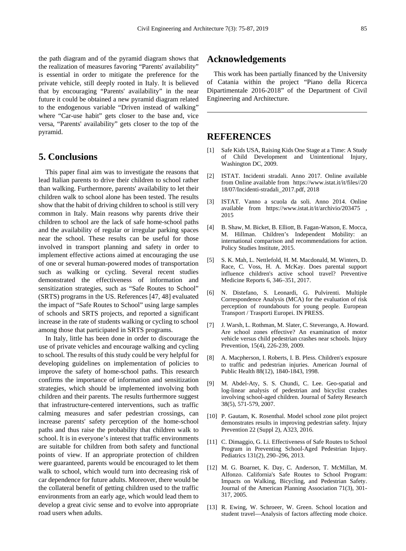the path diagram and of the pyramid diagram shows that the realization of measures favoring "Parents' availability" is essential in order to mitigate the preference for the private vehicle, still deeply rooted in Italy. It is believed that by encouraging "Parents' availability" in the near future it could be obtained a new pyramid diagram related to the endogenous variable "Driven instead of walking" where "Car-use habit" gets closer to the base and, vice versa, "Parents' availability" gets closer to the top of the pyramid.

## **5. Conclusions**

This paper final aim was to investigate the reasons that lead Italian parents to drive their children to school rather than walking. Furthermore, parents' availability to let their children walk to school alone has been tested. The results show that the habit of driving children to school is still very common in Italy. Main reasons why parents drive their children to school are the lack of safe home-school paths and the availability of regular or irregular parking spaces near the school. These results can be useful for those involved in transport planning and safety in order to implement effective actions aimed at encouraging the use of one or several human-powered modes of transportation such as walking or cycling. Several recent studies demonstrated the effectiveness of information and sensitization strategies, such as "Safe Routes to School" (SRTS) programs in the US. References [47, 48] evaluated the impact of "Safe Routes to School" using large samples of schools and SRTS projects, and reported a significant increase in the rate of students walking or cycling to school among those that participated in SRTS programs.

In Italy, little has been done in order to discourage the use of private vehicles and encourage walking and cycling to school. The results of this study could be very helpful for developing guidelines on implementation of policies to improve the safety of home-school paths. This research confirms the importance of information and sensitization strategies, which should be implemented involving both children and their parents. The results furthermore suggest that infrastructure-centered interventions, such as traffic calming measures and safer pedestrian crossings, can increase parents' safety perception of the home-school paths and thus raise the probability that children walk to school. It is in everyone's interest that traffic environments are suitable for children from both safety and functional points of view. If an appropriate protection of children were guaranteed, parents would be encouraged to let them walk to school, which would turn into decreasing risk of car dependence for future adults. Moreover, there would be the collateral benefit of getting children used to the traffic environments from an early age, which would lead them to develop a great civic sense and to evolve into appropriate road users when adults.

## **Acknowledgements**

This work has been partially financed by the University of Catania within the project "Piano della Ricerca Dipartimentale 2016-2018" of the Department of Civil Engineering and Architecture.

## **REFERENCES**

- [1] Safe Kids USA, Raising Kids One Stage at a Time: A Study of Child Development and Unintentional Injury, Washington DC, 2009.
- [2] ISTAT. Incidenti stradali. Anno 2017. Online available from Online available from https://www.istat.it/it/files//20 18/07/Incidenti-stradali\_2017.pdf, 2018
- [3] ISTAT. Vanno a scuola da soli. Anno 2014. Online available from https://www.istat.it/it/archivio/203475 , 2015
- [4] B. Shaw, M. Bicket, B. Elliott, B. Fagan-Watson, E. Mocca, M. Hillman. Children's Independent Mobility: an international comparison and recommendations for action. Policy Studies Institute, 2015.
- [5] S. K. Mah, L. Nettlefold, H. M. Macdonald, M. Winters, D. Race, C. Voss, H. A. McKay. Does parental support influence children's active school travel? Preventive Medicine Reports 6, 346–351, 2017.
- [6] N. Distefano, S. Leonardi, G. Pulvirenti. Multiple Correspondence Analysis (MCA) for the evaluation of risk perception of roundabouts for young people. European Transport / Trasporti Europei. IN PRESS.
- [7] J. Warsh, L. Rothman, M. Slater, C. Steverango, A. Howard. Are school zones effective? An examination of motor vehicle versus child pedestrian crashes near schools. Injury Prevention, 15(4), 226-239, 2009.
- [8] A. Macpherson, I. Roberts, I. B. Pless. Children's exposure to traffic and pedestrian injuries. American Journal of Public Health 88(12), 1840-1843, 1998.
- [9] M. Abdel-Aty, S. S. Chundi, C. Lee. Geo-spatial and log-linear analysis of pedestrian and bicyclist crashes involving school-aged children. Journal of Safety Research 38(5), 571-579, 2007.
- [10] P. Gautam, K. Rosenthal. Model school zone pilot project demonstrates results in improving pedestrian safety. Injury Prevention 22 (Suppl 2), A323, 2016.
- [11] C. Dimaggio, G. Li. Effectiveness of Safe Routes to School Program in Preventing School-Aged Pedestrian Injury. Pediatrics 131(2), 290–296, 2013.
- [12] M. G. Boarnet, K. Day, C. Anderson, T. McMillan, M. Alfonzo. California's Safe Routes to School Program: Impacts on Walking, Bicycling, and Pedestrian Safety. Journal of the American Planning Association 71(3), 301- 317, 2005.
- [13] R. Ewing, W. Schroeer, W. Green. School location and student travel—Analysis of factors affecting mode choice.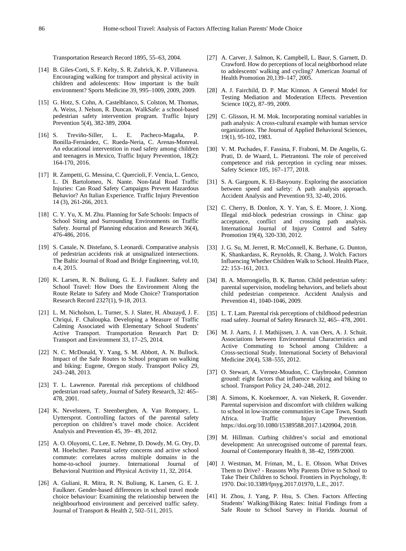Transportation Research Record 1895, 55–63, 2004.

- [14] B. Giles-Corti, S. F. Kelty, S. R. Zubrick, K. P. Villaneuva. Encouraging walking for transport and physical activity in children and adolescents: How important is the built environment? Sports Medicine 39, 995–1009, 2009, 2009.
- [15] G. Hotz, S. Cohn, A. Castelblanco, S. Colston, M. Thomas, A. Weiss, J. Nelson, R. Duncan. WalkSafe: a school-based pedestrian safety intervention program. Traffic Injury Prevention 5(4), 382-389, 2004.
- [16] S. Treviño-Siller, L. E. Pacheco-Magaña, P. Bonilla-Fernández, C. Rueda-Neria, C. Arenas-Monreal. An educational intervention in road safety among children and teenagers in Mexico, Traffic Injury Prevention, 18(2): 164-170, 2016.
- [17] R. Zampetti, G. Messina, C. Quercioli, F. Vencia, L. Genco, L. Di Bartolomeo, N. Nante. Non-fatal Road Traffic Injuries: Can Road Safety Campaigns Prevent Hazardous Behavior? An Italian Experience. Traffic Injury Prevention 14 (3), 261-266, 2013.
- [18] C. Y. Yu, X. M. Zhu. Planning for Safe Schools: Impacts of School Siting and Surrounding Environments on Traffic Safety. Journal pf Planning education and Research 36(4), 476-486, 2016.
- [19] S. Canale, N. Distefano, S. Leonardi. Comparative analysis of pedestrian accidents risk at unsignalized intersections. The Baltic Journal of Road and Bridge Engineering, vol.10, n.4, 2015.
- [20] K. Larsen, R. N. Buliung, G. E. J. Faulkner. Safety and School Travel: How Does the Environment Along the Route Relate to Safety and Mode Choice? Transportation Research Record 2327(1), 9-18, 2013.
- [21] L. M. Nicholson, L. Turner, S. J. Slater, H. Abuzayd, J. F. Chriqui, F. Chaloupka. Developing a Measure of Traffic Calming Associated with Elementary School Students' Active Transport. Transportation Research Part D: Transport and Environment 33, 17–25, 2014.
- [22] N. C. McDonald, Y. Yang, S. M. Abbott, A. N. Bullock. Impact of the Safe Routes to School program on walking and biking: Eugene, Oregon study. Transport Policy 29, 243–248, 2013.
- [23] T. L. Lawrence. Parental risk perceptions of childhood pedestrian road safety, Journal of Safety Research, 32: 465– 478, 2001.
- [24] K. Nevelsteen, T. Steenberghen, A. Van Rompaey, L. Uyttersprot. Controlling factors of the parental safety perception on children's travel mode choice. Accident Analysis and Prevention 45, 39– 49, 2012.
- [25] A. O. Oluyomi, C. Lee, E. Nehme, D. Dowdy, M. G. Ory, D. M. Hoelscher. Parental safety concerns and active school commute: correlates across multiple domains in the home-to-school journey. International Journal of Behavioral Nutrition and Physical Activity 11, 32, 2014.
- [26] A. Guliani, R. Mitra, R. N. Buliung, K. Larsen, G. E. J. Faulkner. Gender-based differences in school travel mode choice behaviour: Examining the relationship between the neighbourhood environment and perceived traffic safety. Journal of Transport & Health 2, 502–511, 2015.
- [27] A. Carver, J. Salmon, K. Campbell, L. Baur, S. Garnett, D. Crawford. How do perceptions of local neighborhood relate to adolescents' walking and cycling? American Journal of Health Promotion 20,139–147, 2005.
- [28] A. J. Fairchild, D. P. Mac Kinnon. A General Model for Testing Mediation and Moderation Effects. Prevention Science 10(2), 87–99, 2009.
- [29] C. Glisson, H. M. Mok. Incorporating nominal variables in path analysis: A cross-cultural example with human service organizations. The Journal of Applied Behavioral Sciences, 19(1), 95-102, 1983.
- [30] V. M. Puchades, F. Fassina, F. Fraboni, M. De Angelis, G. Prati, D. de Waard, L. Pietrantoni. The role of perceived competence and risk perception in cycling near misses. Safety Science 105, 167–177, 2018.
- [31] S. A. Gargoum, K. El-Basyouny. Exploring the association between speed and safety: A path analysis approach. Accident Analysis and Prevention 93, 32-40, 2016.
- [32] C. Cherry, B. Donlon, X. Y. Yan, S. E. Moore, J. Xiong. Illegal mid-block pedestrian crossings in China: gap acceptance, conflict and crossing path analysis. International Journal of Injury Control and Safety Promotion 19(4), 320-330, 2012.
- [33] J. G. Su, M. Jerrett, R. McConnell, K. Berhane, G. Dunton, K. Shankardass, K. Reynolds, R. Chang, J. Wolch. Factors Influencing Whether Children Walk to School. Health Place, 22: 153–161, 2013.
- [34] B. A. Morrongiello, B. K. Barton. Child pedestrian safety: parental supervision, modeling behaviors, and beliefs about child pedestrian competence. Accident Analysis and Prevention 41, 1040-1046, 2009.
- [35] L. T. Lam. Parental risk perceptions of childhood pedestrian road safety. Journal of Safety Research 32, 465– 478, 2001.
- [36] M. J. Aarts, J. J. Mathijssen, J. A. van Oers, A. J. Schuit. Associations between Environmental Characteristics and Active Commuting to School among Children: a Cross-sectional Study. International Society of Behavioral Medicine 20(4), 538–555, 2012.
- [37] O. Stewart, A. Vernez-Moudon, C. Claybrooke, Common ground: eight factors that influence walking and biking to school. Transport Policy 24, 240–248, 2012.
- [38] A. Simons, K. Koekemoer, A. van Niekerk, R. Govender. Parental supervision and discomfort with children walking to school in low-income communities in Cape Town, South<br>Africa. Traffic Injury Prevention. Africa. Traffic Injury Prevention. https://doi.org/10.1080/15389588.2017.1420904, 2018.
- [39] M. Hillman. Curbing children's social and emotional development: An unrecognised outcome of parental fears. Journal of Contemporary Health 8, 38–42, 1999/2000.
- [40] J. Westman, M. Friman, M., L. E. Olsson. What Drives Them to Drive? - Reasons Why Parents Drive to School to Take Their Children to School. Frontiers in Psychology, 8: 1970. Doi:10.3389/fpsyg.2017.01970, L.E., 2017.
- [41] H. Zhou, J. Yang, P. Hsu, S. Chen. Factors Affecting Students' Walking/Biking Rates: Initial Findings from a Safe Route to School Survey in Florida. Journal of